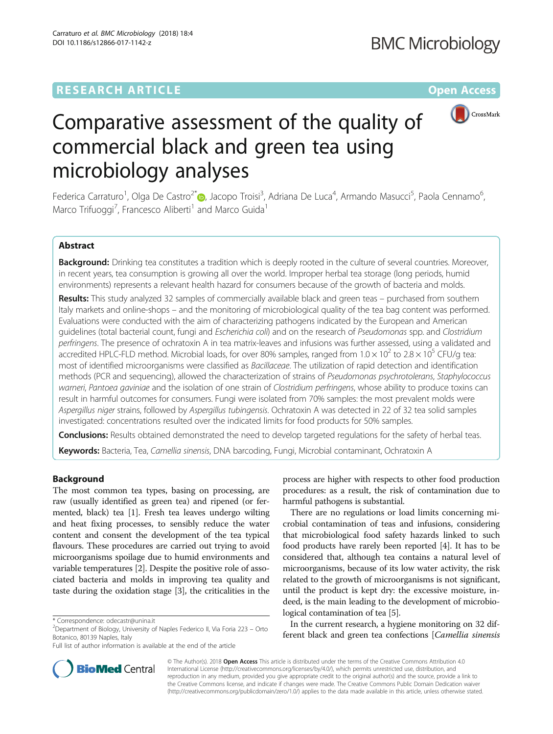# **RESEARCH ARTICLE Example 2018 12:00 Department of the CONNECTION CONNECTION CONNECTION CONNECTION CONNECTION**



# Comparative assessment of the quality of commercial black and green tea using microbiology analyses

Federica Carraturo<sup>1</sup>, Olga De Castro<sup>2[\\*](http://orcid.org/0000-0002-4861-3960)</sup>@, Jacopo Troisi<sup>3</sup>, Adriana De Luca<sup>4</sup>, Armando Masucci<sup>5</sup>, Paola Cennamo<sup>6</sup> , Marco Trifuoggi<sup>7</sup>, Francesco Aliberti<sup>1</sup> and Marco Guida<sup>1</sup>

# Abstract

Background: Drinking tea constitutes a tradition which is deeply rooted in the culture of several countries. Moreover, in recent years, tea consumption is growing all over the world. Improper herbal tea storage (long periods, humid environments) represents a relevant health hazard for consumers because of the growth of bacteria and molds.

Results: This study analyzed 32 samples of commercially available black and green teas – purchased from southern Italy markets and online-shops – and the monitoring of microbiological quality of the tea bag content was performed. Evaluations were conducted with the aim of characterizing pathogens indicated by the European and American quidelines (total bacterial count, fungi and Escherichia coli) and on the research of Pseudomonas spp. and Clostridium perfringens. The presence of ochratoxin A in tea matrix-leaves and infusions was further assessed, using a validated and accredited HPLC-FLD method. Microbial loads, for over 80% samples, ranged from  $1.0 \times 10^2$  to  $2.8 \times 10^5$  CFU/g tea: most of identified microorganisms were classified as Bacillaceae. The utilization of rapid detection and identification methods (PCR and sequencing), allowed the characterization of strains of Pseudomonas psychrotolerans, Staphylococcus warneri, Pantoea gaviniae and the isolation of one strain of Clostridium perfringens, whose ability to produce toxins can result in harmful outcomes for consumers. Fungi were isolated from 70% samples: the most prevalent molds were Aspergillus niger strains, followed by Aspergillus tubingensis. Ochratoxin A was detected in 22 of 32 tea solid samples investigated: concentrations resulted over the indicated limits for food products for 50% samples.

Conclusions: Results obtained demonstrated the need to develop targeted regulations for the safety of herbal teas.

Keywords: Bacteria, Tea, Camellia sinensis, DNA barcoding, Fungi, Microbial contaminant, Ochratoxin A

# Background

The most common tea types, basing on processing, are raw (usually identified as green tea) and ripened (or fermented, black) tea [\[1\]](#page-10-0). Fresh tea leaves undergo wilting and heat fixing processes, to sensibly reduce the water content and consent the development of the tea typical flavours. These procedures are carried out trying to avoid microorganisms spoilage due to humid environments and variable temperatures [\[2](#page-10-0)]. Despite the positive role of associated bacteria and molds in improving tea quality and taste during the oxidation stage [\[3](#page-10-0)], the criticalities in the

process are higher with respects to other food production procedures: as a result, the risk of contamination due to harmful pathogens is substantial.

There are no regulations or load limits concerning microbial contamination of teas and infusions, considering that microbiological food safety hazards linked to such food products have rarely been reported [[4\]](#page-10-0). It has to be considered that, although tea contains a natural level of microorganisms, because of its low water activity, the risk related to the growth of microorganisms is not significant, until the product is kept dry: the excessive moisture, indeed, is the main leading to the development of microbiological contamination of tea [[5\]](#page-10-0).

In the current research, a hygiene monitoring on 32 different black and green tea confections [Camellia sinensis



© The Author(s). 2018 Open Access This article is distributed under the terms of the Creative Commons Attribution 4.0 International License [\(http://creativecommons.org/licenses/by/4.0/](http://creativecommons.org/licenses/by/4.0/)), which permits unrestricted use, distribution, and reproduction in any medium, provided you give appropriate credit to the original author(s) and the source, provide a link to the Creative Commons license, and indicate if changes were made. The Creative Commons Public Domain Dedication waiver [\(http://creativecommons.org/publicdomain/zero/1.0/](http://creativecommons.org/publicdomain/zero/1.0/)) applies to the data made available in this article, unless otherwise stated.

<sup>\*</sup> Correspondence: [odecastr@unina.it](mailto:odecastr@unina.it) <sup>2</sup>

 $2$ Department of Biology, University of Naples Federico II, Via Foria 223 – Orto Botanico, 80139 Naples, Italy

Full list of author information is available at the end of the article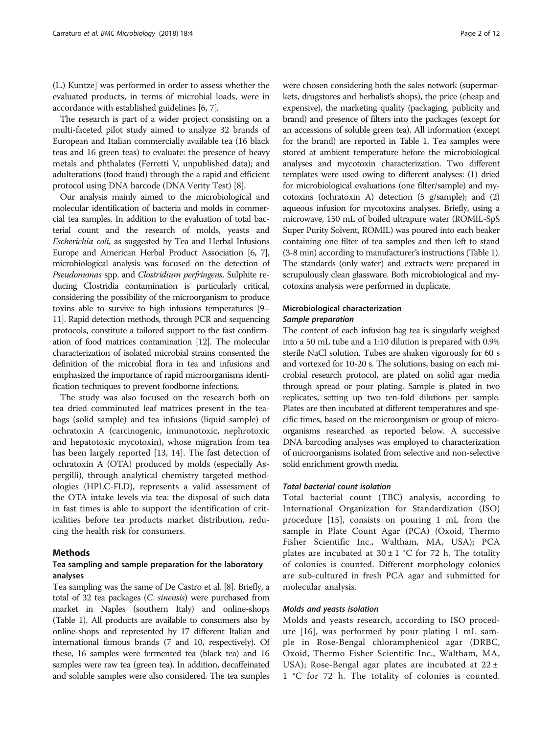(L.) Kuntze] was performed in order to assess whether the evaluated products, in terms of microbial loads, were in accordance with established guidelines [[6](#page-10-0), [7\]](#page-10-0).

The research is part of a wider project consisting on a multi-faceted pilot study aimed to analyze 32 brands of European and Italian commercially available tea (16 black teas and 16 green teas) to evaluate: the presence of heavy metals and phthalates (Ferretti V, unpublished data); and adulterations (food fraud) through the a rapid and efficient protocol using DNA barcode (DNA Verity Test) [\[8\]](#page-10-0).

Our analysis mainly aimed to the microbiological and molecular identification of bacteria and molds in commercial tea samples. In addition to the evaluation of total bacterial count and the research of molds, yeasts and Escherichia coli, as suggested by Tea and Herbal Infusions Europe and American Herbal Product Association [[6](#page-10-0), [7](#page-10-0)], microbiological analysis was focused on the detection of Pseudomonas spp. and Clostridium perfringens. Sulphite reducing Clostridia contamination is particularly critical, considering the possibility of the microorganism to produce toxins able to survive to high infusions temperatures [\[9](#page-10-0)– [11](#page-10-0)]. Rapid detection methods, through PCR and sequencing protocols, constitute a tailored support to the fast confirmation of food matrices contamination [[12](#page-10-0)]. The molecular characterization of isolated microbial strains consented the definition of the microbial flora in tea and infusions and emphasized the importance of rapid microorganisms identification techniques to prevent foodborne infections.

The study was also focused on the research both on tea dried comminuted leaf matrices present in the teabags (solid sample) and tea infusions (liquid sample) of ochratoxin A (carcinogenic, immunotoxic, nephrotoxic and hepatotoxic mycotoxin), whose migration from tea has been largely reported [[13, 14](#page-10-0)]. The fast detection of ochratoxin A (OTA) produced by molds (especially Aspergilli), through analytical chemistry targeted methodologies (HPLC-FLD), represents a valid assessment of the OTA intake levels via tea: the disposal of such data in fast times is able to support the identification of criticalities before tea products market distribution, reducing the health risk for consumers.

#### Methods

# Tea sampling and sample preparation for the laboratory analyses

Tea sampling was the same of De Castro et al. [\[8\]](#page-10-0). Briefly, a total of 32 tea packages (C. sinensis) were purchased from market in Naples (southern Italy) and online-shops (Table [1](#page-2-0)). All products are available to consumers also by online-shops and represented by 17 different Italian and international famous brands (7 and 10, respectively). Of these, 16 samples were fermented tea (black tea) and 16 samples were raw tea (green tea). In addition, decaffeinated and soluble samples were also considered. The tea samples

were chosen considering both the sales network (supermarkets, drugstores and herbalist's shops), the price (cheap and expensive), the marketing quality (packaging, publicity and brand) and presence of filters into the packages (except for an accessions of soluble green tea). All information (except for the brand) are reported in Table [1](#page-2-0). Tea samples were stored at ambient temperature before the microbiological

analyses and mycotoxin characterization. Two different templates were used owing to different analyses: (1) dried for microbiological evaluations (one filter/sample) and mycotoxins (ochratoxin A) detection (5 g/sample); and (2) aqueous infusion for mycotoxins analyses. Briefly, using a microwave, 150 mL of boiled ultrapure water (ROMIL-SpS Super Purity Solvent, ROMIL) was poured into each beaker containing one filter of tea samples and then left to stand (3-8 min) according to manufacturer's instructions (Table [1](#page-2-0)). The standards (only water) and extracts were prepared in scrupulously clean glassware. Both microbiological and mycotoxins analysis were performed in duplicate.

# Microbiological characterization Sample preparation

The content of each infusion bag tea is singularly weighed into a 50 mL tube and a 1:10 dilution is prepared with 0.9% sterile NaCl solution. Tubes are shaken vigorously for 60 s and vortexed for 10-20 s. The solutions, basing on each microbial research protocol, are plated on solid agar media through spread or pour plating. Sample is plated in two replicates, setting up two ten-fold dilutions per sample. Plates are then incubated at different temperatures and specific times, based on the microorganism or group of microorganisms researched as reported below. A successive DNA barcoding analyses was employed to characterization of microorganisms isolated from selective and non-selective solid enrichment growth media.

#### Total bacterial count isolation

Total bacterial count (TBC) analysis, according to International Organization for Standardization (ISO) procedure [[15\]](#page-10-0), consists on pouring 1 mL from the sample in Plate Count Agar (PCA) (Oxoid, Thermo Fisher Scientific Inc., Waltham, MA, USA); PCA plates are incubated at  $30 \pm 1$  °C for 72 h. The totality of colonies is counted. Different morphology colonies are sub-cultured in fresh PCA agar and submitted for molecular analysis.

#### Molds and yeasts isolation

Molds and yeasts research, according to ISO procedure [[16\]](#page-10-0), was performed by pour plating 1 mL sample in Rose-Bengal chloramphenicol agar (DRBC, Oxoid, Thermo Fisher Scientific Inc., Waltham, MA, USA); Rose-Bengal agar plates are incubated at  $22 \pm$ 1 °C for 72 h. The totality of colonies is counted.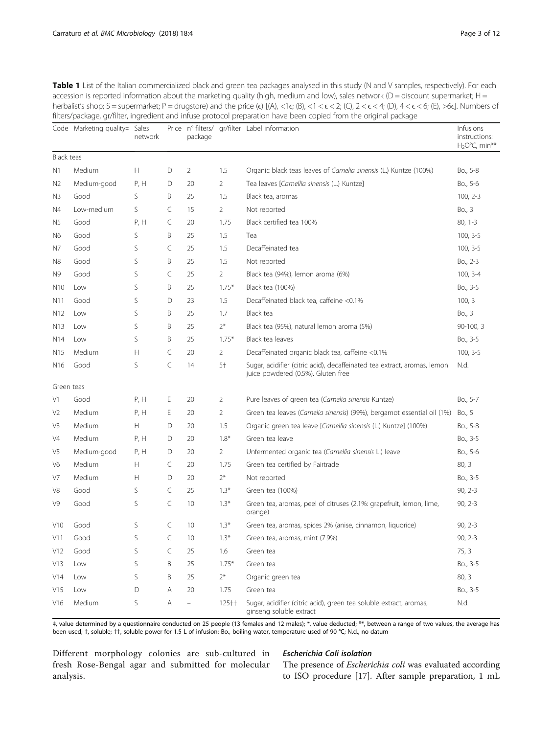<span id="page-2-0"></span>Table 1 List of the Italian commercialized black and green tea packages analysed in this study (N and V samples, respectively). For each accession is reported information about the marketing quality (high, medium and low), sales network (D = discount supermarket; H = herbalist's shop; S = supermarket; P = drugstore) and the price (e)  $[(A), <1 < \epsilon < 2$ ; (C),  $2 < \epsilon < 4$ ; (D),  $4 < \epsilon < 6$ ; (E),  $>6\epsilon]$ . Numbers of filters/package, gr/filter, ingredient and infuse protocol preparation have been copied from the original package

|                 | Code Marketing quality‡ Sales | network |           | package       |                | Price nº filters/ gr/filter Label information                                                                  | Infusions<br>instructions:<br>$H_2O^{\circ}C$ , min** |
|-----------------|-------------------------------|---------|-----------|---------------|----------------|----------------------------------------------------------------------------------------------------------------|-------------------------------------------------------|
| Black teas      |                               |         |           |               |                |                                                                                                                |                                                       |
| N1              | Medium                        | Н       | D         | 2             | 1.5            | Organic black teas leaves of Camelia sinensis (L.) Kuntze (100%)                                               | Bo., 5-8                                              |
| N <sub>2</sub>  | Medium-good                   | P, H    | D         | 20            | 2              | Tea leaves [Camellia sinensis (L.) Kuntze]                                                                     | Bo., 5-6                                              |
| N <sub>3</sub>  | Good                          | S       | B         | 25            | 1.5            | Black tea, aromas                                                                                              | $100, 2-3$                                            |
| N4              | Low-medium                    | S       | C         | 15            | 2              | Not reported                                                                                                   | Bo., 3                                                |
| N <sub>5</sub>  | Good                          | Р, Н    | C         | 20            | 1.75           | Black certified tea 100%                                                                                       | $80, 1-3$                                             |
| N <sub>6</sub>  | Good                          | S       | B         | 25            | 1.5            | Tea                                                                                                            | $100, 3-5$                                            |
| N7              | Good                          | S       | C         | 25            | 1.5            | Decaffeinated tea                                                                                              | $100, 3-5$                                            |
| N8              | Good                          | S       | Β         | 25            | 1.5            | Not reported                                                                                                   | Bo., 2-3                                              |
| N <sub>9</sub>  | Good                          | S       | C         | 25            | 2              | Black tea (94%), lemon aroma (6%)                                                                              | $100, 3-4$                                            |
| N <sub>10</sub> | Low                           | S       | Β         | 25            | $1.75*$        | Black tea (100%)                                                                                               | Bo., 3-5                                              |
| N11             | Good                          | S       | D         | 23            | 1.5            | Decaffeinated black tea, caffeine <0.1%                                                                        | 100, 3                                                |
| N <sub>12</sub> | Low                           | S       | B         | 25            | 1.7            | Black tea                                                                                                      | Bo., 3                                                |
| N <sub>13</sub> | Low                           | S       | Β         | 25            | $2*$           | Black tea (95%), natural lemon aroma (5%)                                                                      | $90-100, 3$                                           |
| N <sub>14</sub> | Low                           | S       | Β         | 25            | $1.75*$        | Black tea leaves                                                                                               | Bo., 3-5                                              |
| N <sub>15</sub> | Medium                        | Н       | C         | 20            | $\overline{2}$ | Decaffeinated organic black tea, caffeine <0.1%                                                                | $100, 3-5$                                            |
| N <sub>16</sub> | Good                          | S       | $\subset$ | 14            | 5†             | Sugar, acidifier (citric acid), decaffeinated tea extract, aromas, lemon<br>juice powdered (0.5%). Gluten free | N.d.                                                  |
| Green teas      |                               |         |           |               |                |                                                                                                                |                                                       |
| V1              | Good                          | P, H    | Ε         | 20            | 2              | Pure leaves of green tea (Camelia sinensis Kuntze)                                                             | Bo., 5-7                                              |
| V2              | Medium                        | P, H    | Е         | 20            | 2              | Green tea leaves (Camelia sinensis) (99%), bergamot essential oil (1%)                                         | Bo., 5                                                |
| V3              | Medium                        | Н       | D         | 20            | 1.5            | Organic green tea leave [Camellia sinensis (L.) Kuntze] (100%)                                                 | Bo., 5-8                                              |
| V4              | Medium                        | P, H    | D         | 20            | $1.8*$         | Green tea leave                                                                                                | Bo., 3-5                                              |
| V5              | Medium-good                   | Р, Н    | D         | 20            | 2              | Unfermented organic tea (Camellia sinensis L.) leave                                                           | Bo., 5-6                                              |
| V6              | Medium                        | Н       | C         | 20            | 1.75           | Green tea certified by Fairtrade                                                                               | 80, 3                                                 |
| V7              | Medium                        | Н       | D         | 20            | $2*$           | Not reported                                                                                                   | Bo., 3-5                                              |
| V8              | Good                          | S       | C         | 25            | $1.3*$         | Green tea (100%)                                                                                               | $90, 2-3$                                             |
| V9              | Good                          | S       | C         | 10            | $1.3*$         | Green tea, aromas, peel of citruses (2.1%: grapefruit, lemon, lime,<br>orange)                                 | $90, 2-3$                                             |
| V10             | Good                          | S       | C         | 10            | $1.3*$         | Green tea, aromas, spices 2% (anise, cinnamon, liquorice)                                                      | $90, 2-3$                                             |
| V11             | Good                          | S       | C         | 10            | $1.3*$         | Green tea, aromas, mint (7.9%)                                                                                 | $90, 2-3$                                             |
| V12             | Good                          | S       | C         | 25            | 1.6            | Green tea                                                                                                      | 75, 3                                                 |
| V13             | Low                           | S       | Β         | 25            | $1.75*$        | Green tea                                                                                                      | Bo., 3-5                                              |
| V14             | Low                           | S       | Β         | 25            | $2^*$          | Organic green tea                                                                                              | 80, 3                                                 |
| V15             | Low                           | D       | Α         | 20            | 1.75           | Green tea                                                                                                      | Bo., 3-5                                              |
| V16             | Medium                        | S       | Α         | $\frac{1}{2}$ | 125††          | Sugar, acidifier (citric acid), green tea soluble extract, aromas,<br>ginseng soluble extract                  | N.d.                                                  |

‡, value determined by a questionnaire conducted on 25 people (13 females and 12 males); \*, value deducted; \*\*, between a range of two values, the average has been used; †, soluble; ††, soluble power for 1.5 L of infusion; Bo., boiling water, temperature used of 90 °C; N.d., no datum

Different morphology colonies are sub-cultured in fresh Rose-Bengal agar and submitted for molecular analysis.

# Escherichia Coli isolation

The presence of *Escherichia coli* was evaluated according to ISO procedure [[17](#page-10-0)]. After sample preparation, 1 mL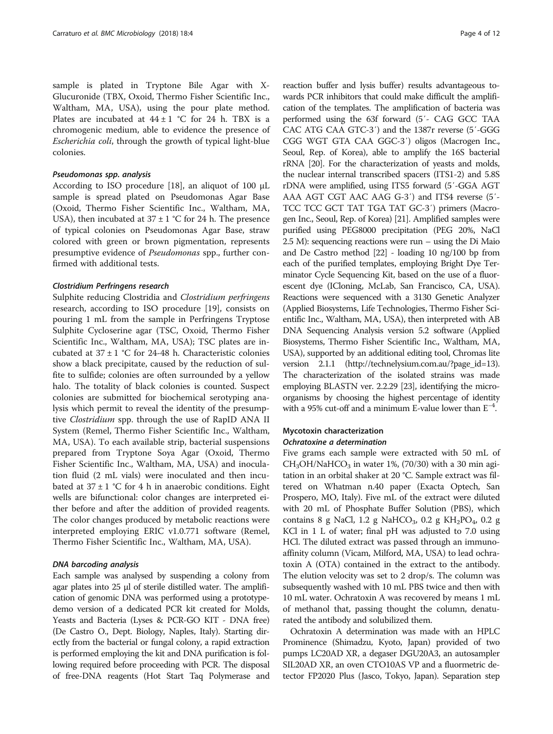sample is plated in Tryptone Bile Agar with X-Glucuronide (TBX, Oxoid, Thermo Fisher Scientific Inc., Waltham, MA, USA), using the pour plate method. Plates are incubated at  $44 \pm 1$  °C for 24 h. TBX is a chromogenic medium, able to evidence the presence of Escherichia coli, through the growth of typical light-blue colonies.

#### Pseudomonas spp. analysis

According to ISO procedure [[18\]](#page-10-0), an aliquot of 100 μL sample is spread plated on Pseudomonas Agar Base (Oxoid, Thermo Fisher Scientific Inc., Waltham, MA, USA), then incubated at  $37 \pm 1$  °C for 24 h. The presence of typical colonies on Pseudomonas Agar Base, straw colored with green or brown pigmentation, represents presumptive evidence of Pseudomonas spp., further confirmed with additional tests.

#### Clostridium Perfringens research

Sulphite reducing Clostridia and Clostridium perfringens research, according to ISO procedure [[19\]](#page-10-0), consists on pouring 1 mL from the sample in Perfringens Tryptose Sulphite Cycloserine agar (TSC, Oxoid, Thermo Fisher Scientific Inc., Waltham, MA, USA); TSC plates are incubated at  $37 \pm 1$  °C for 24-48 h. Characteristic colonies show a black precipitate, caused by the reduction of sulfite to sulfide; colonies are often surrounded by a yellow halo. The totality of black colonies is counted. Suspect colonies are submitted for biochemical serotyping analysis which permit to reveal the identity of the presumptive Clostridium spp. through the use of RapID ANA II System (Remel, Thermo Fisher Scientific Inc., Waltham, MA, USA). To each available strip, bacterial suspensions prepared from Tryptone Soya Agar (Oxoid, Thermo Fisher Scientific Inc., Waltham, MA, USA) and inoculation fluid (2 mL vials) were inoculated and then incubated at  $37 \pm 1$  °C for 4 h in anaerobic conditions. Eight wells are bifunctional: color changes are interpreted either before and after the addition of provided reagents. The color changes produced by metabolic reactions were interpreted employing ERIC v1.0.771 software (Remel, Thermo Fisher Scientific Inc., Waltham, MA, USA).

#### DNA barcoding analysis

Each sample was analysed by suspending a colony from agar plates into 25 μl of sterile distilled water. The amplification of genomic DNA was performed using a prototypedemo version of a dedicated PCR kit created for Molds, Yeasts and Bacteria (Lyses & PCR-GO KIT - DNA free) (De Castro O., Dept. Biology, Naples, Italy). Starting directly from the bacterial or fungal colony, a rapid extraction is performed employing the kit and DNA purification is following required before proceeding with PCR. The disposal of free-DNA reagents (Hot Start Taq Polymerase and

reaction buffer and lysis buffer) results advantageous towards PCR inhibitors that could make difficult the amplification of the templates. The amplification of bacteria was performed using the 63f forward (5′- CAG GCC TAA CAC ATG CAA GTC-3′) and the 1387r reverse (5′-GGG CGG WGT GTA CAA GGC-3′) oligos (Macrogen Inc., Seoul, Rep. of Korea), able to amplify the 16S bacterial rRNA [\[20\]](#page-10-0). For the characterization of yeasts and molds, the nuclear internal transcribed spacers (ITS1-2) and 5.8S rDNA were amplified, using ITS5 forward (5′-GGA AGT AAA AGT CGT AAC AAG G-3′) and ITS4 reverse (5′- TCC TCC GCT TAT TGA TAT GC-3′) primers (Macrogen Inc., Seoul, Rep. of Korea) [\[21](#page-10-0)]. Amplified samples were purified using PEG8000 precipitation (PEG 20%, NaCl 2.5 M): sequencing reactions were run – using the Di Maio and De Castro method [\[22](#page-11-0)] - loading 10 ng/100 bp from each of the purified templates, employing Bright Dye Terminator Cycle Sequencing Kit, based on the use of a fluorescent dye (ICloning, McLab, San Francisco, CA, USA). Reactions were sequenced with a 3130 Genetic Analyzer (Applied Biosystems, Life Technologies, Thermo Fisher Scientific Inc., Waltham, MA, USA), then interpreted with AB DNA Sequencing Analysis version 5.2 software (Applied Biosystems, Thermo Fisher Scientific Inc., Waltham, MA, USA), supported by an additional editing tool, Chromas lite version 2.1.1 ([http://technelysium.com.au/?page\\_id=13](http://technelysium.com.au/?page_id=13)). The characterization of the isolated strains was made employing BLASTN ver. 2.2.29 [[23](#page-11-0)], identifying the microorganisms by choosing the highest percentage of identity with a 95% cut-off and a minimum E-value lower than E−<sup>4</sup> .

# Mycotoxin characterization Ochratoxine a determination

Five grams each sample were extracted with 50 mL of  $CH<sub>3</sub>OH/NaHCO<sub>3</sub>$  in water 1%, (70/30) with a 30 min agitation in an orbital shaker at 20 °C. Sample extract was filtered on Whatman n.40 paper (Exacta Optech, San Prospero, MO, Italy). Five mL of the extract were diluted with 20 mL of Phosphate Buffer Solution (PBS), which contains 8 g NaCl, 1.2 g NaHCO<sub>3</sub>, 0.2 g KH<sub>2</sub>PO<sub>4</sub>, 0.2 g KCl in 1 L of water; final pH was adjusted to 7.0 using HCl. The diluted extract was passed through an immunoaffinity column (Vicam, Milford, MA, USA) to lead ochratoxin A (OTA) contained in the extract to the antibody. The elution velocity was set to 2 drop/s. The column was subsequently washed with 10 mL PBS twice and then with 10 mL water. Ochratoxin A was recovered by means 1 mL of methanol that, passing thought the column, denaturated the antibody and solubilized them.

Ochratoxin A determination was made with an HPLC Prominence (Shimadzu, Kyoto, Japan) provided of two pumps LC20AD XR, a degaser DGU20A3, an autosampler SIL20AD XR, an oven CTO10AS VP and a fluormetric detector FP2020 Plus (Jasco, Tokyo, Japan). Separation step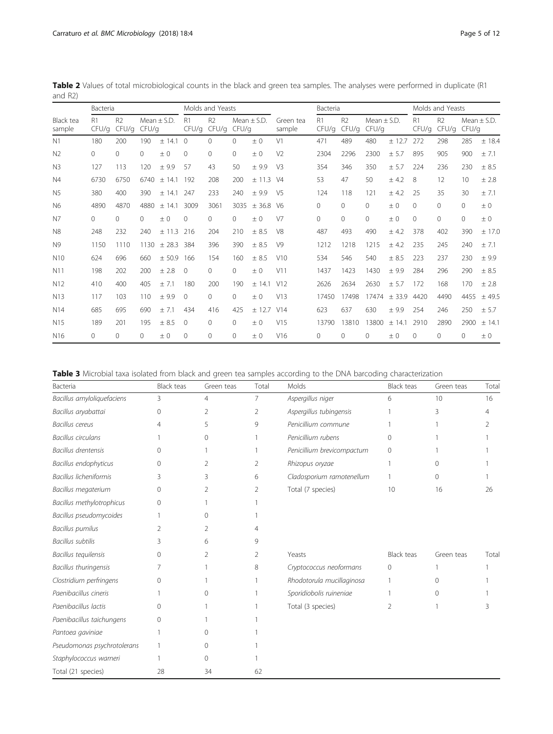| Table 3 Microbial taxa isolated from black and green tea samples according to the DNA barcoding characterization |  |  |  |
|------------------------------------------------------------------------------------------------------------------|--|--|--|
|------------------------------------------------------------------------------------------------------------------|--|--|--|

| Bacteria                    | Black teas | Green teas     | Total | Molds                      | <b>Black teas</b> | Green teas | Total |
|-----------------------------|------------|----------------|-------|----------------------------|-------------------|------------|-------|
| Bacillus amyloliquefaciens  | 3          | $\overline{4}$ | 7     | Aspergillus niger          | 6                 | 10         | 16    |
| Bacillus aryabattai         | 0          | 2              | 2     | Aspergillus tubingensis    |                   | 3          | 4     |
| <b>Bacillus</b> cereus      | 4          | 5              | 9     | Penicillium commune        |                   |            |       |
| <b>Bacillus circulans</b>   |            | $\Omega$       |       | Penicillium rubens         | 0                 |            |       |
| <b>Bacillus drentensis</b>  | O          |                |       | Penicillium brevicompactum | 0                 |            |       |
| Bacillus endophyticus       | 0          | 2              | 2     | Rhizopus oryzae            |                   | 0          |       |
| Bacillus licheniformis      | 3          | 3              | 6     | Cladosporium ramotenellum  |                   | $\Omega$   |       |
| Bacillus megaterium         | $\Omega$   | 2              | 2     | Total (7 species)          | 10                | 16         | 26    |
| Bacillus methylotrophicus   | $\Omega$   |                |       |                            |                   |            |       |
| Bacillus pseudomycoides     |            | $\Omega$       |       |                            |                   |            |       |
| <b>Bacillus pumilus</b>     | 2          | 2              | Δ     |                            |                   |            |       |
| <b>Bacillus subtilis</b>    | 3          | 6              | 9     |                            |                   |            |       |
| Bacillus tequilensis        | $\Omega$   | 2              | 2     | Yeasts                     | <b>Black teas</b> | Green teas | Total |
| Bacillus thuringensis       | 7          |                | 8     | Cryptococcus neoformans    | 0                 |            |       |
| Clostridium perfringens     | $\Omega$   |                |       | Rhodotorula mucillaginosa  | 1                 | 0          |       |
| Paenibacillus cineris       |            | $\Omega$       |       | Sporidiobolis ruineniae    |                   | 0          |       |
| Paenibacillus lactis        | O          |                |       | Total (3 species)          | 2                 |            |       |
| Paenibacillus taichungens   | 0          |                |       |                            |                   |            |       |
| Pantoea gaviniae            |            | ∩              |       |                            |                   |            |       |
| Pseudomonas psychrotolerans |            | 0              |       |                            |                   |            |       |
| Staphylococcus warneri      |            | ∩              |       |                            |                   |            |       |
| Total (21 species)          | 28         | 34             | 62    |                            |                   |            |       |

<span id="page-4-0"></span>Table 2 Values of total microbiological counts in the black and green tea samples. The analyses were performed in duplicate (R1 and R2)

|                     | Bacteria                |                         |          |                 | Molds and Yeasts |                         |          |                 |                     | Bacteria                |                         |                          |         | Molds and Yeasts |                         |          |                 |
|---------------------|-------------------------|-------------------------|----------|-----------------|------------------|-------------------------|----------|-----------------|---------------------|-------------------------|-------------------------|--------------------------|---------|------------------|-------------------------|----------|-----------------|
| Black tea<br>sample | R <sub>1</sub><br>CFU/q | R <sub>2</sub><br>CFU/q | CFU/q    | Mean $\pm$ S.D. | R1<br>CFU/q      | R <sub>2</sub><br>CFU/q | CFU/q    | Mean $\pm$ S.D. | Green tea<br>sample | R <sub>1</sub><br>CFU/q | R <sub>2</sub><br>CFU/q | Mean $\pm$ S.D.<br>CFU/q |         | R1<br>CFU/q      | R <sub>2</sub><br>CFU/q | CFU/q    | Mean $\pm$ S.D. |
| N <sub>1</sub>      | 180                     | 200                     | 190      | ± 14.1          | $\Omega$         | $\Omega$                | $\Omega$ | ± 0             | V <sub>1</sub>      | 471                     | 489                     | 480                      | ± 12.7  | 272              | 298                     | 285      | $±$ 18.4        |
| N <sub>2</sub>      | $\mathbf{0}$            | $\Omega$                | $\Omega$ | $\pm 0$         | 0                | $\Omega$                | 0        | ±0              | V <sub>2</sub>      | 2304                    | 2296                    | 2300                     | ± 5.7   | 895              | 905                     | 900      | ± 7.1           |
| N <sub>3</sub>      | 127                     | 113                     | 120      | ±9.9            | 57               | 43                      | 50       | ±9.9            | V <sub>3</sub>      | 354                     | 346                     | 350                      | ± 5.7   | 224              | 236                     | 230      | ± 8.5           |
| N <sub>4</sub>      | 6730                    | 6750                    | 6740     | ± 14.1          | 192              | 208                     | 200      | ± 11.3          | V/4                 | 53                      | 47                      | 50                       | ± 4.2   | 8                | 12                      | 10       | ± 2.8           |
| N <sub>5</sub>      | 380                     | 400                     | 390      | ± 14.1          | 247              | 233                     | 240      | ± 9.9           | V <sub>5</sub>      | 124                     | 118                     | 121                      | ± 4.2   | 25               | 35                      | 30       | ± 7.1           |
| N <sub>6</sub>      | 4890                    | 4870                    | 4880     | ± 14.1          | 3009             | 3061                    | 3035     | $±$ 36.8        | V6                  | $\Omega$                | $\Omega$                | $\Omega$                 | ± 0     | $\Omega$         | $\Omega$                | $\Omega$ | $\pm 0$         |
| N <sub>7</sub>      | $\Omega$                | $\Omega$                | $\Omega$ | ±0              | $\Omega$         | $\Omega$                | $\Omega$ | $\pm 0$         | V <sub>7</sub>      | $\Omega$                | $\Omega$                | $\Omega$                 | $\pm 0$ | $\Omega$         | $\Omega$                | $\Omega$ | ±0              |
| N <sub>8</sub>      | 248                     | 232                     | 240      | $+11.3$         | 216              | 204                     | 210      | $+8.5$          | V <sub>8</sub>      | 487                     | 493                     | 490                      | ± 4.2   | 378              | 402                     | 390      | ± 17.0          |
| N <sub>9</sub>      | 1150                    | 1110                    | 1130     | ± 28.3          | 384              | 396                     | 390      | ± 8.5           | V <sub>9</sub>      | 1212                    | 1218                    | 1215                     | ± 4.2   | 235              | 245                     | 240      | ± 7.1           |
| N <sub>10</sub>     | 624                     | 696                     | 660      | ± 50.9          | 166              | 154                     | 160      | ± 8.5           | V10                 | 534                     | 546                     | 540                      | ± 8.5   | 223              | 237                     | 230      | ± 9.9           |
| N <sub>11</sub>     | 198                     | 202                     | 200      | ± 2.8           | $\mathbf{0}$     | 0                       | 0        | ± 0             | V11                 | 1437                    | 1423                    | 1430                     | ±9.9    | 284              | 296                     | 290      | ± 8.5           |
| N <sub>12</sub>     | 410                     | 400                     | 405      | $+7.1$          | 180              | 200                     | 190      | ± 14.1          | V12                 | 2626                    | 2634                    | 2630                     | ± 5.7   | 172              | 168                     | 170      | ± 2.8           |
| N <sub>13</sub>     | 117                     | 103                     | 110      | $+9.9$          | $\Omega$         | $\Omega$                | $\Omega$ | $\pm 0$         | V13                 | 17450                   | 17498                   | 17474                    | $+33.9$ | 4420             | 4490                    | 4455     | ± 49.5          |
| N <sub>14</sub>     | 685                     | 695                     | 690      | ± 7.1           | 434              | 416                     | 425      | $+12.7$         | V14                 | 623                     | 637                     | 630                      | ±9.9    | 254              | 246                     | 250      | ± 5.7           |
| N <sub>15</sub>     | 189                     | 201                     | 195      | ± 8.5           | $\Omega$         | $\Omega$                | 0        | ± 0             | V15                 | 13790                   | 13810                   | 13800                    | ± 14.1  | 2910             | 2890                    | 2900     | ± 14.1          |
| N <sub>16</sub>     | $\Omega$                | $\Omega$                | $\Omega$ | ±0              | 0                | 0                       | 0        | ± 0             | V16                 | 0                       | 0                       | $\Omega$                 | $\pm 0$ | 0                | 0                       | $\Omega$ | ±0              |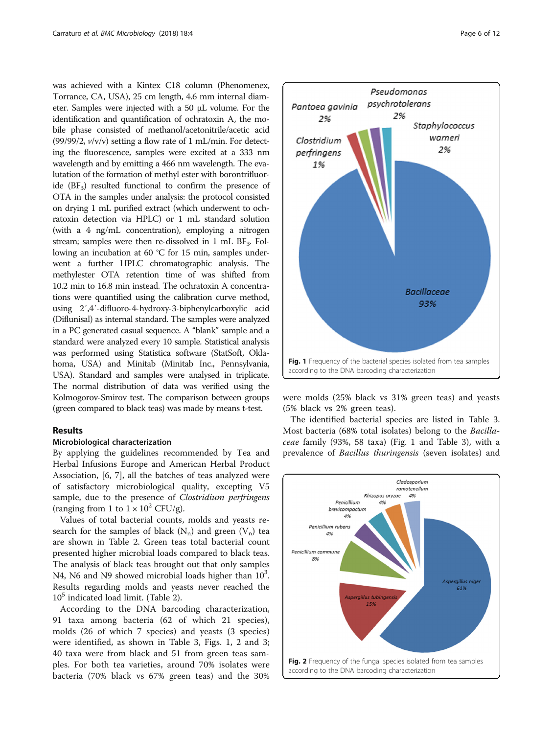<span id="page-5-0"></span>was achieved with a Kintex C18 column (Phenomenex, Torrance, CA, USA), 25 cm length, 4.6 mm internal diameter. Samples were injected with a 50 μL volume. For the identification and quantification of ochratoxin A, the mobile phase consisted of methanol/acetonitrile/acetic acid (99/99/2,  $v/v/v$ ) setting a flow rate of 1 mL/min. For detecting the fluorescence, samples were excited at a 333 nm wavelength and by emitting a 466 nm wavelength. The evalutation of the formation of methyl ester with borontrifluoride  $(BF_3)$  resulted functional to confirm the presence of OTA in the samples under analysis: the protocol consisted on drying 1 mL purified extract (which underwent to ochratoxin detection via HPLC) or 1 mL standard solution (with a 4 ng/mL concentration), employing a nitrogen stream; samples were then re-dissolved in 1 mL  $BF_3$ . Following an incubation at 60 °C for 15 min, samples underwent a further HPLC chromatographic analysis. The methylester OTA retention time of was shifted from 10.2 min to 16.8 min instead. The ochratoxin A concentrations were quantified using the calibration curve method, using 2′,4′-difluoro-4-hydroxy-3-biphenylcarboxylic acid (Diflunisal) as internal standard. The samples were analyzed in a PC generated casual sequence. A "blank" sample and a standard were analyzed every 10 sample. Statistical analysis was performed using Statistica software (StatSoft, Oklahoma, USA) and Minitab (Minitab Inc., Pennsylvania, USA). Standard and samples were analysed in triplicate. The normal distribution of data was verified using the Kolmogorov-Smirov test. The comparison between groups (green compared to black teas) was made by means t-test.

# Results

#### Microbiological characterization

By applying the guidelines recommended by Tea and Herbal Infusions Europe and American Herbal Product Association, [[6, 7\]](#page-10-0), all the batches of teas analyzed were of satisfactory microbiological quality, excepting V5 sample, due to the presence of Clostridium perfringens (ranging from 1 to  $1 \times 10^2$  CFU/g).

Values of total bacterial counts, molds and yeasts research for the samples of black  $(N_n)$  and green  $(V_n)$  tea are shown in Table [2.](#page-4-0) Green teas total bacterial count presented higher microbial loads compared to black teas. The analysis of black teas brought out that only samples N4, N6 and N9 showed microbial loads higher than  $10^3$ . Results regarding molds and yeasts never reached the  $10<sup>5</sup>$  indicated load limit. (Table [2\)](#page-4-0).

According to the DNA barcoding characterization, 91 taxa among bacteria (62 of which 21 species), molds (26 of which 7 species) and yeasts (3 species) were identified, as shown in Table [3,](#page-4-0) Figs. 1, 2 and [3](#page-6-0); 40 taxa were from black and 51 from green teas samples. For both tea varieties, around 70% isolates were bacteria (70% black vs 67% green teas) and the 30%



were molds (25% black vs 31% green teas) and yeasts (5% black vs 2% green teas).

The identified bacterial species are listed in Table [3](#page-4-0). Most bacteria (68% total isolates) belong to the Bacillaceae family (93%, 58 taxa) (Fig. 1 and Table [3](#page-4-0)), with a prevalence of Bacillus thuringensis (seven isolates) and

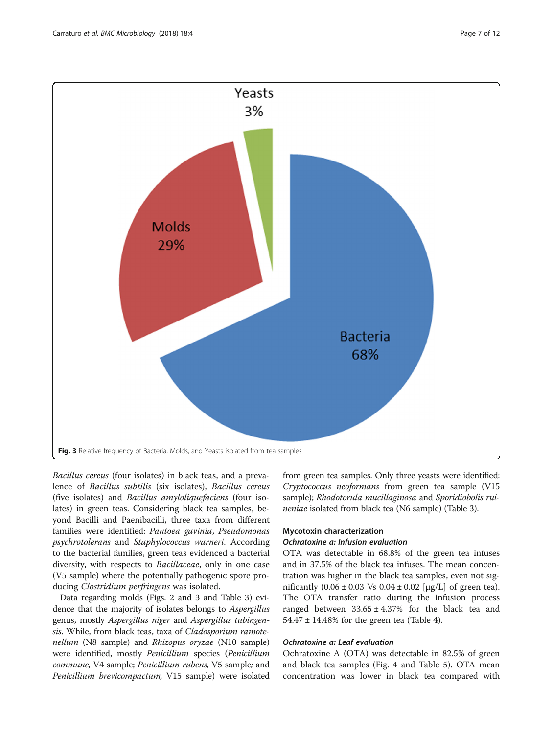<span id="page-6-0"></span>

Bacillus cereus (four isolates) in black teas, and a prevalence of Bacillus subtilis (six isolates), Bacillus cereus (five isolates) and Bacillus amyloliquefaciens (four isolates) in green teas. Considering black tea samples, beyond Bacilli and Paenibacilli, three taxa from different families were identified: Pantoea gavinia, Pseudomonas psychrotolerans and Staphylococcus warneri. According to the bacterial families, green teas evidenced a bacterial diversity, with respects to Bacillaceae, only in one case (V5 sample) where the potentially pathogenic spore producing Clostridium perfringens was isolated.

Data regarding molds (Figs. [2](#page-5-0) and 3 and Table [3\)](#page-4-0) evidence that the majority of isolates belongs to Aspergillus genus, mostly Aspergillus niger and Aspergillus tubingensis. While, from black teas, taxa of Cladosporium ramotenellum (N8 sample) and *Rhizopus oryzae* (N10 sample) were identified, mostly Penicillium species (Penicillium commune, V4 sample; Penicillium rubens, V5 sample; and Penicillium brevicompactum, V15 sample) were isolated from green tea samples. Only three yeasts were identified: Cryptococcus neoformans from green tea sample (V15 sample); Rhodotorula mucillaginosa and Sporidiobolis ruineniae isolated from black tea (N6 sample) (Table [3\)](#page-4-0).

# Mycotoxin characterization

# Ochratoxine a: Infusion evaluation

OTA was detectable in 68.8% of the green tea infuses and in 37.5% of the black tea infuses. The mean concentration was higher in the black tea samples, even not significantly  $(0.06 \pm 0.03 \text{ Vs } 0.04 \pm 0.02 \text{ [µg/L]}$  of green tea). The OTA transfer ratio during the infusion process ranged between  $33.65 \pm 4.37\%$  for the black tea and  $54.47 \pm 14.48\%$  for the green tea (Table [4\)](#page-7-0).

# Ochratoxine a: Leaf evaluation

Ochratoxine A (OTA) was detectable in 82.5% of green and black tea samples (Fig. [4](#page-8-0) and Table [5](#page-9-0)). OTA mean concentration was lower in black tea compared with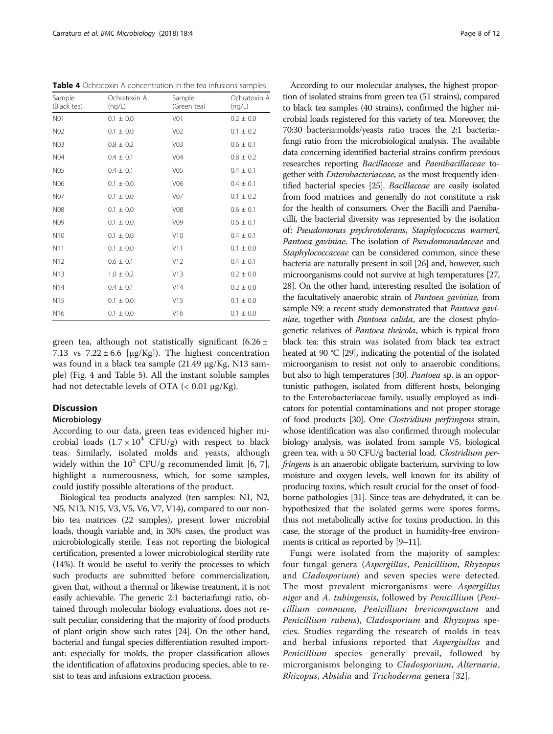<span id="page-7-0"></span>Table 4 Ochratoxin A concentration in the tea infusions samples

| Sample<br>(Black tea) | Ochratoxin A<br>(nq/L) | Sample<br>(Green tea) | Ochratoxin A<br>(nq/L) |
|-----------------------|------------------------|-----------------------|------------------------|
| N01                   | $0.1 \pm 0.0$          | V <sub>01</sub>       | $0.2 \pm 0.0$          |
| N02                   | $0.1 \pm 0.0$          | V02                   | $0.1 \pm 0.2$          |
| N03                   | $0.8 \pm 0.2$          | V <sub>03</sub>       | $0.6 \pm 0.1$          |
| <b>N04</b>            | $0.4 \pm 0.1$          | V <sub>04</sub>       | $0.8 \pm 0.2$          |
| N05                   | $0.4 \pm 0.1$          | V <sub>05</sub>       | $0.4 \pm 0.1$          |
| N06                   | $0.1 \pm 0.0$          | V06                   | $0.4 \pm 0.1$          |
| N07                   | $0.1 \pm 0.0$          | V07                   | $0.1 \pm 0.2$          |
| <b>N08</b>            | $0.1 \pm 0.0$          | <b>V08</b>            | $0.6 + 0.1$            |
| N09                   | $0.1 \pm 0.0$          | V09                   | $0.6 \pm 0.1$          |
| N10                   | $0.1 \pm 0.0$          | V10                   | $0.4 \pm 0.1$          |
| N11                   | $0.1 \pm 0.0$          | V11                   | $0.1 \pm 0.0$          |
| N <sub>12</sub>       | $0.6 \pm 0.1$          | V12                   | $0.4 \pm 0.1$          |
| N13                   | $1.0 \pm 0.2$          | V13                   | $0.2 \pm 0.0$          |
| N <sub>14</sub>       | $0.4 \pm 0.1$          | V14                   | $0.2 \pm 0.0$          |
| N15                   | $0.1 \pm 0.0$          | V15                   | $0.1 \pm 0.0$          |
| N <sub>16</sub>       | $0.1 \pm 0.0$          | V <sub>16</sub>       | $0.1 \pm 0.0$          |

green tea, although not statistically significant  $(6.26 \pm$ 7.13 vs  $7.22 \pm 6.6$  [µg/Kg]). The highest concentration was found in a black tea sample (21.49 μg/Kg, N13 sample) (Fig. [4](#page-8-0) and Table [5\)](#page-9-0). All the instant soluble samples had not detectable levels of OTA  $\left($  < 0.01  $\mu$ g/Kg).

# **Discussion**

# Microbiology

According to our data, green teas evidenced higher microbial loads  $(1.7 \times 10^4 \text{ CFU/g})$  with respect to black teas. Similarly, isolated molds and yeasts, although widely within the  $10^5$  CFU/g recommended limit [[6](#page-10-0), [7](#page-10-0)], highlight a numerousness, which, for some samples, could justify possible alterations of the product.

Biological tea products analyzed (ten samples: N1, N2, N5, N13, N15, V3, V5, V6, V7, V14), compared to our nonbio tea matrices (22 samples), present lower microbial loads, though variable and, in 30% cases, the product was microbiologically sterile. Teas not reporting the biological certification, presented a lower microbiological sterility rate (14%). It would be useful to verify the processes to which such products are submitted before commercialization, given that, without a thermal or likewise treatment, it is not easily achievable. The generic 2:1 bacteria:fungi ratio, obtained through molecular biology evaluations, does not result peculiar, considering that the majority of food products of plant origin show such rates [\[24](#page-11-0)]. On the other hand, bacterial and fungal species differentiation resulted important: especially for molds, the proper classification allows the identification of aflatoxins producing species, able to resist to teas and infusions extraction process.

According to our molecular analyses, the highest proportion of isolated strains from green tea (51 strains), compared to black tea samples (40 strains), confirmed the higher microbial loads registered for this variety of tea. Moreover, the 70:30 bacteria:molds/yeasts ratio traces the 2:1 bacteria: fungi ratio from the microbiological analysis. The available data concerning identified bacterial strains confirm previous researches reporting Bacillaceae and Paenibacillaceae together with Enterobacteriaceae, as the most frequently identified bacterial species [\[25\]](#page-11-0). Bacillaceae are easily isolated from food matrices and generally do not constitute a risk for the health of consumers. Over the Bacilli and Paenibacilli, the bacterial diversity was represented by the isolation of: Pseudomonas psychrotolerans, Staphylococcus warneri, Pantoea gaviniae. The isolation of Pseudomonadaceae and Staphylococcaceae can be considered common, since these bacteria are naturally present in soil [\[26\]](#page-11-0) and, however, such microorganisms could not survive at high temperatures [\[27](#page-11-0), [28](#page-11-0)]. On the other hand, interesting resulted the isolation of the facultatively anaerobic strain of Pantoea gaviniae, from sample N9: a recent study demonstrated that Pantoea gaviniae, together with Pantoea calida, are the closest phylogenetic relatives of Pantoea theicola, which is typical from black tea: this strain was isolated from black tea extract heated at 90 °C [\[29\]](#page-11-0), indicating the potential of the isolated microorganism to resist not only to anaerobic conditions, but also to high temperatures [\[30](#page-11-0)]. Pantoea sp. is an opportunistic pathogen, isolated from different hosts, belonging to the Enterobacteriaceae family, usually employed as indicators for potential contaminations and not proper storage of food products [\[30\]](#page-11-0). One Clostridium perfringens strain, whose identification was also confirmed through molecular biology analysis, was isolated from sample V5, biological green tea, with a 50 CFU/g bacterial load. Clostridium perfringens is an anaerobic obligate bacterium, surviving to low moisture and oxygen levels, well known for its ability of producing toxins, which result crucial for the onset of foodborne pathologies [[31](#page-11-0)]. Since teas are dehydrated, it can be hypothesized that the isolated germs were spores forms, thus not metabolically active for toxins production. In this case, the storage of the product in humidity-free environments is critical as reported by [\[9](#page-10-0)–[11](#page-10-0)].

Fungi were isolated from the majority of samples: four fungal genera (Aspergillus, Penicillium, Rhyzopus and Cladosporium) and seven species were detected. The most prevalent microrganisms were Aspergillus niger and A. tubingensis, followed by Penicillium (Penicillium commune, Penicillium brevicompactum and Penicillium rubens), Cladosporium and Rhyzopus species. Studies regarding the research of molds in teas and herbal infusions reported that Aspergiullus and Penicillium species generally prevail, followed by microrganisms belonging to Cladosporium, Alternaria, Rhizopus, Absidia and Trichoderma genera [[32\]](#page-11-0).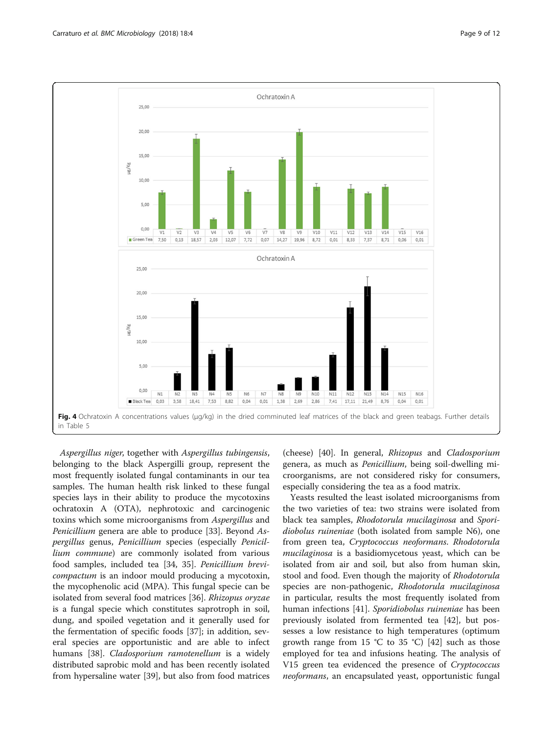<span id="page-8-0"></span>

Aspergillus niger, together with Aspergillus tubingensis, belonging to the black Aspergilli group, represent the most frequently isolated fungal contaminants in our tea samples. The human health risk linked to these fungal species lays in their ability to produce the mycotoxins ochratoxin A (OTA), nephrotoxic and carcinogenic toxins which some microorganisms from Aspergillus and Penicillium genera are able to produce [[33](#page-11-0)]. Beyond Aspergillus genus, Penicillium species (especially Penicillium commune) are commonly isolated from various food samples, included tea [\[34](#page-11-0), [35\]](#page-11-0). Penicillium brevicompactum is an indoor mould producing a mycotoxin, the mycophenolic acid (MPA). This fungal specie can be isolated from several food matrices [[36](#page-11-0)]. Rhizopus oryzae is a fungal specie which constitutes saprotroph in soil, dung, and spoiled vegetation and it generally used for the fermentation of specific foods [\[37](#page-11-0)]; in addition, several species are opportunistic and are able to infect humans [[38](#page-11-0)]. Cladosporium ramotenellum is a widely distributed saprobic mold and has been recently isolated from hypersaline water [[39](#page-11-0)], but also from food matrices (cheese) [\[40](#page-11-0)]. In general, Rhizopus and Cladosporium genera, as much as Penicillium, being soil-dwelling microorganisms, are not considered risky for consumers, especially considering the tea as a food matrix.

Yeasts resulted the least isolated microorganisms from the two varieties of tea: two strains were isolated from black tea samples, Rhodotorula mucilaginosa and Sporidiobolus ruineniae (both isolated from sample N6), one from green tea, Cryptococcus neoformans. Rhodotorula mucilaginosa is a basidiomycetous yeast, which can be isolated from air and soil, but also from human skin, stool and food. Even though the majority of Rhodotorula species are non-pathogenic, Rhodotorula mucilaginosa in particular, results the most frequently isolated from human infections [\[41\]](#page-11-0). Sporidiobolus ruineniae has been previously isolated from fermented tea [\[42](#page-11-0)], but possesses a low resistance to high temperatures (optimum growth range from 15 °C to 35 °C) [[42\]](#page-11-0) such as those employed for tea and infusions heating. The analysis of V15 green tea evidenced the presence of Cryptococcus neoformans, an encapsulated yeast, opportunistic fungal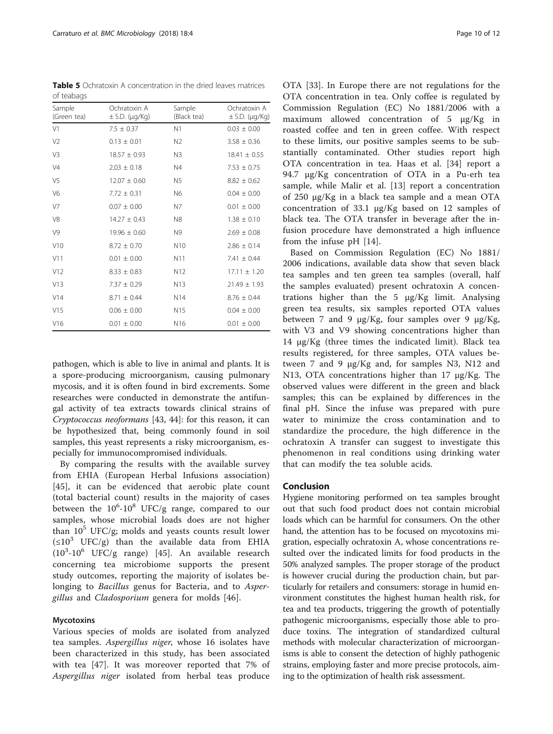<span id="page-9-0"></span>Table 5 Ochratoxin A concentration in the dried leaves matrices of teabags

| Sample<br>(Green tea) | Ochratoxin A<br>$\pm$ S.D. ( $\mu$ g/Kg) | Sample<br>(Black tea) | Ochratoxin A<br>$\pm$ S.D. ( $\mu$ g/Kg) |
|-----------------------|------------------------------------------|-----------------------|------------------------------------------|
| V <sub>1</sub>        | $7.5 \pm 0.37$                           | N1                    | $0.03 \pm 0.00$                          |
| V <sub>2</sub>        | $0.13 \pm 0.01$                          | N <sub>2</sub>        | $3.58 \pm 0.36$                          |
| V3                    | $18.57 \pm 0.93$                         | N3                    | $18.41 \pm 0.55$                         |
| V <sub>4</sub>        | $2.03 \pm 0.18$                          | N4                    | $7.53 \pm 0.75$                          |
| V <sub>5</sub>        | $12.07 + 0.60$                           | N <sub>5</sub>        | $8.82 + 0.62$                            |
| V <sub>6</sub>        | $7.72 \pm 0.31$                          | N6                    | $0.04 \pm 0.00$                          |
| V <sub>7</sub>        | $0.07 \pm 0.00$                          | N <sub>7</sub>        | $0.01 \pm 0.00$                          |
| V8                    | $14.27 \pm 0.43$                         | N8                    | $1.38 \pm 0.10$                          |
| V <sup>9</sup>        | $19.96 \pm 0.60$                         | N9                    | $2.69 \pm 0.08$                          |
| V10                   | $8.72 \pm 0.70$                          | N <sub>10</sub>       | $2.86 \pm 0.14$                          |
| V11                   | $0.01 \pm 0.00$                          | N11                   | $7.41 \pm 0.44$                          |
| V12                   | $8.33 \pm 0.83$                          | N12                   | $17.11 \pm 1.20$                         |
| V13                   | $7.37 \pm 0.29$                          | N13                   | $21.49 \pm 1.93$                         |
| V14                   | $8.71 + 0.44$                            | N <sub>14</sub>       | $8.76 + 0.44$                            |
| V15                   | $0.06 \pm 0.00$                          | N <sub>15</sub>       | $0.04 \pm 0.00$                          |
| V16                   | $0.01 \pm 0.00$                          | N <sub>16</sub>       | $0.01 \pm 0.00$                          |

pathogen, which is able to live in animal and plants. It is a spore-producing microorganism, causing pulmonary mycosis, and it is often found in bird excrements. Some researches were conducted in demonstrate the antifungal activity of tea extracts towards clinical strains of Cryptococcus neoformans [[43, 44](#page-11-0)]: for this reason, it can be hypothesized that, being commonly found in soil samples, this yeast represents a risky microorganism, especially for immunocompromised individuals.

By comparing the results with the available survey from EHIA (European Herbal Infusions association) [[45\]](#page-11-0), it can be evidenced that aerobic plate count (total bacterial count) results in the majority of cases between the  $10^6$ - $10^8$  UFC/g range, compared to our samples, whose microbial loads does are not higher than  $10^5$  UFC/g; molds and yeasts counts result lower  $(\leq 10^3$  UFC/g) than the available data from EHIA  $(10^3 - 10^6$  UFC/g range) [\[45](#page-11-0)]. An available research concerning tea microbiome supports the present study outcomes, reporting the majority of isolates belonging to Bacillus genus for Bacteria, and to Aspergillus and Cladosporium genera for molds [\[46](#page-11-0)].

#### **Mycotoxins**

Various species of molds are isolated from analyzed tea samples. Aspergillus niger, whose 16 isolates have been characterized in this study, has been associated with tea [[47\]](#page-11-0). It was moreover reported that 7% of Aspergillus niger isolated from herbal teas produce

OTA [[33\]](#page-11-0). In Europe there are not regulations for the OTA concentration in tea. Only coffee is regulated by Commission Regulation (EC) No 1881/2006 with a maximum allowed concentration of 5 μg/Kg in roasted coffee and ten in green coffee. With respect to these limits, our positive samples seems to be substantially contaminated. Other studies report high OTA concentration in tea. Haas et al. [\[34](#page-11-0)] report a 94.7 μg/Kg concentration of OTA in a Pu-erh tea sample, while Malir et al. [[13\]](#page-10-0) report a concentration of 250 μg/Kg in a black tea sample and a mean OTA concentration of 33.1 μg/Kg based on 12 samples of black tea. The OTA transfer in beverage after the infusion procedure have demonstrated a high influence from the infuse pH [[14\]](#page-10-0).

Based on Commission Regulation (EC) No 1881/ 2006 indications, available data show that seven black tea samples and ten green tea samples (overall, half the samples evaluated) present ochratoxin A concentrations higher than the 5 μg/Kg limit. Analysing green tea results, six samples reported OTA values between 7 and 9 μg/Kg, four samples over 9 μg/Kg, with V3 and V9 showing concentrations higher than 14 μg/Kg (three times the indicated limit). Black tea results registered, for three samples, OTA values between 7 and 9 μg/Kg and, for samples N3, N12 and N13, OTA concentrations higher than 17 μg/Kg. The observed values were different in the green and black samples; this can be explained by differences in the final pH. Since the infuse was prepared with pure water to minimize the cross contamination and to standardize the procedure, the high difference in the ochratoxin A transfer can suggest to investigate this phenomenon in real conditions using drinking water that can modify the tea soluble acids.

# Conclusion

Hygiene monitoring performed on tea samples brought out that such food product does not contain microbial loads which can be harmful for consumers. On the other hand, the attention has to be focused on mycotoxins migration, especially ochratoxin A, whose concentrations resulted over the indicated limits for food products in the 50% analyzed samples. The proper storage of the product is however crucial during the production chain, but particularly for retailers and consumers: storage in humid environment constitutes the highest human health risk, for tea and tea products, triggering the growth of potentially pathogenic microorganisms, especially those able to produce toxins. The integration of standardized cultural methods with molecular characterization of microorganisms is able to consent the detection of highly pathogenic strains, employing faster and more precise protocols, aiming to the optimization of health risk assessment.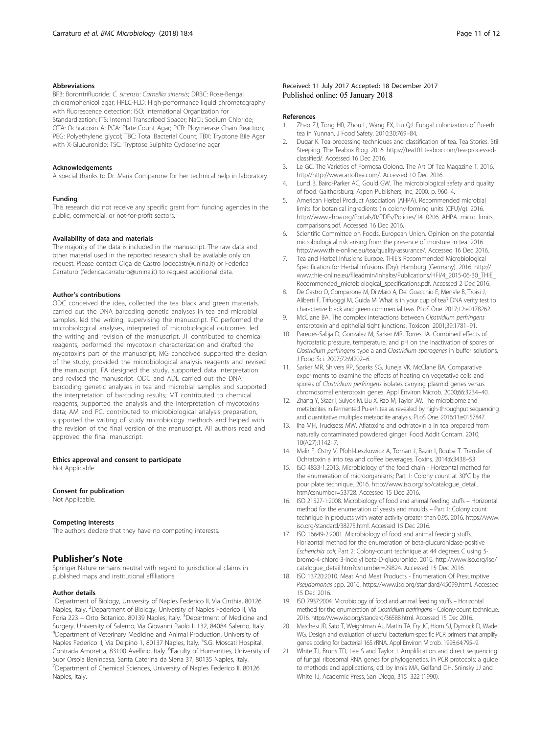#### <span id="page-10-0"></span>Abbreviations

BF3: Borontrifluoride; C. sinensis: Camellia sinensis; DRBC: Rose-Bengal chloramphenicol agar; HPLC-FLD: High-performance liquid chromatography with fluorescence detection; ISO: International Organization for Standardization; ITS: Internal Transcribed Spacer; NaCl: Sodium Chloride; OTA: Ochratoxin A; PCA: Plate Count Agar; PCR: Ploymerase Chain Reaction; PEG: Polyethylene glycol; TBC: Total Bacterial Count; TBX: Tryptone Bile Agar with X-Glucuronide; TSC: Tryptose Sulphite Cycloserine agar

#### Acknowledgements

A special thanks to Dr. Maria Comparone for her technical help in laboratory.

#### Funding

This research did not receive any specific grant from funding agencies in the public, commercial, or not-for-profit sectors.

#### Availability of data and materials

The majority of the data is included in the manuscript. The raw data and other material used in the reported research shall be available only on request. Please contact Olga de Castro (odecastr@unina.it) or Federica Carraturo (federica.carraturo@unina.it) to request additional data.

#### Author's contributions

ODC conceived the idea, collected the tea black and green materials, carried out the DNA barcoding genetic analyses in tea and microbial samples, led the writing, supervising the manuscript. FC performed the microbiological analyses, interpreted of microbiological outcomes, led the writing and revision of the manuscript. JT contributed to chemical reagents, performed the mycotoxin characterization and drafted the mycotoxins part of the manuscript; MG conceived supported the design of the study, provided the microbiological analysis reagents and revised the manuscript. FA designed the study, supported data interpretation and revised the manuscript. ODC and ADL carried out the DNA barcoding genetic analyses in tea and microbial samples and supported the interpretation of barcoding results; MT contributed to chemical reagents, supported the analysis and the interpretation of mycotoxins data; AM and PC, contributed to microbiological analysis preparation, supported the writing of study microbiology methods and helped with the revision of the final version of the manuscript. All authors read and approved the final manuscript.

Ethics approval and consent to participate Not Applicable.

# Consent for publication

Not Applicable.

#### Competing interests

The authors declare that they have no competing interests.

# Publisher's Note

Springer Nature remains neutral with regard to jurisdictional claims in published maps and institutional affiliations.

#### Author details

<sup>1</sup>Department of Biology, University of Naples Federico II, Via Cinthia, 80126 Naples, Italy. <sup>2</sup>Department of Biology, University of Naples Federico II, Via Foria 223 – Orto Botanico, 80139 Naples, Italy. <sup>3</sup>Department of Medicine and Surgery, University of Salerno, Via Giovanni Paolo II 132, 84084 Salerno, Italy. 4 Department of Veterinary Medicine and Animal Production, University of Naples Federico II, Via Delpino 1, 80137 Naples, Italy. <sup>5</sup>S.G. Moscati Hospital, Contrada Amoretta, 83100 Avellino, Italy. <sup>6</sup>Faculty of Humanities, University of Suor Orsola Benincasa, Santa Caterina da Siena 37, 80135 Naples, Italy. <sup>7</sup> Department of Chemical Sciences, University of Naples Federico II, 80126 Naples, Italy.

#### References

- 1. Zhao ZJ, Tong HR, Zhou L, Wang EX, Liu QJ. Fungal colonization of Pu-erh tea in Yunnan. J Food Safety. 2010;30:769–84.
- 2. Dugar K. Tea processing techniques and classification of tea. Tea Stories. Still Steeping. The Teabox Blog. 2016. [https://tea101.teabox.com/tea-processed](https://tea101.teabox.com/tea-processed-classified/)[classified/](https://tea101.teabox.com/tea-processed-classified/). Accessed 16 Dec 2016.
- 3. Le GC. The Varieties of Formosa Oolong. The Art Of Tea Magazine 1. 2016. http//<http://www.artoftea.com/>. Accessed 10 Dec 2016.
- 4. Lund B, Baird-Parker AC, Gould GW. The microbiological safety and quality of food. Gaithersburg: Aspen Publishers, Inc; 2000. p. 960–4.
- 5. American Herbal Product Association (AHPA). Recommended microbial limits for botanical ingredients (in colony-forming units (CFU)/g). 2016. [http://www.ahpa.org/Portals/0/PDFs/Policies/14\\_0206\\_AHPA\\_micro\\_limits\\_](http://www.ahpa.org/Portals/0/PDFs/Policies/14_0206_AHPA_micro_limits_comparisons.pdf) [comparisons.pdf.](http://www.ahpa.org/Portals/0/PDFs/Policies/14_0206_AHPA_micro_limits_comparisons.pdf) Accessed 16 Dec 2016.
- 6. Scientific Committee on Foods, European Union. Opinion on the potential microbiological risk arising from the presence of moisture in tea. 2016. [http://www.thie-online.eu/tea/quality-assurance/.](http://www.thie-online.eu/tea/quality-assurance/) Accessed 16 Dec 2016.
- Tea and Herbal Infusions Europe. THIE's Recommended Microbiological Specification for Herbal Infusions (Dry). Hamburg (Germany). 2016. [http://](http://www.thie-online.eu/fileadmin/inhalte/Publications/HFI/4_2015-06-30_THIE_Recommended_microbiological_specifications.pdf) [www.thie-online.eu/fileadmin/inhalte/Publications/HFI/4\\_2015-06-30\\_THIE\\_](http://www.thie-online.eu/fileadmin/inhalte/Publications/HFI/4_2015-06-30_THIE_Recommended_microbiological_specifications.pdf) [Recommended\\_microbiological\\_specifications.pdf](http://www.thie-online.eu/fileadmin/inhalte/Publications/HFI/4_2015-06-30_THIE_Recommended_microbiological_specifications.pdf). Accessed 2 Dec 2016.
- 8. De Castro O, Comparone M, Di Maio A, Del Guacchio E, Menale B, Troisi J, Aliberti F, Trifuoggi M, Guida M. What is in your cup of tea? DNA verity test to characterize black and green commercial teas. PLoS One. 2017;12:e0178262.
- McClane BA. The complex interactions between Clostridium perfringens enterotoxin and epithelial tight junctions. Toxicon. 2001;39:1781–91.
- 10. Paredes-Sabja D, Gonzalez M, Sarker MR, Torres JA. Combined effects of hydrostatic pressure, temperature, and pH on the inactivation of spores of Clostridium perfringens type a and Clostridium sporogenes in buffer solutions. J Food Sci. 2007;72:M202–6.
- 11. Sarker MR, Shivers RP, Sparks SG, Juneja VK, McClane BA. Comparative experiments to examine the effects of heating on vegetative cells and spores of Clostridium perfringens isolates carrying plasmid genes versus chromosomal enterotoxin genes. Appl Environ Microb. 2000;66:3234–40.
- 12. Zhang Y, Skaar I, Sulyok M, Liu X, Rao M, Taylor JW. The microbiome and metabolites in fermented Pu-erh tea as revealed by high-throughput sequencing and quantitative multiplex metabolite analysis. PLoS One. 2016;11:e0157847.
- 13. Iha MH, Trucksess MW. Aflatoxins and ochratoxin a in tea prepared from naturally contaminated powdered ginger. Food Addit Contam. 2010; 10(A27):1142–7.
- 14. Malir F, Ostry V, Pfohl-Leszkowicz A, Toman J, Bazin I, Rouba T. Transfer of Ochratoxin a into tea and coffee beverages. Toxins. 2014;6:3438–53.
- 15. ISO 4833-1:2013. Microbiology of the food chain Horizontal method for the enumeration of microorganisms; Part 1: Colony count at 30°C by the pour plate technique. 2016. [http://www.iso.org/iso/catalogue\\_detail.](http://www.iso.org/iso/catalogue_detail.htm?csnumber=53728) [htm?csnumber=53728.](http://www.iso.org/iso/catalogue_detail.htm?csnumber=53728) Accessed 15 Dec 2016.
- 16. ISO 21527-1:2008. Microbiology of food and animal feeding stuffs Horizontal method for the enumeration of yeasts and moulds – Part 1: Colony count technique in products with water activity greater than 0.95. 2016. [https://www.](https://www.iso.org/standard/38275.html) [iso.org/standard/38275.html](https://www.iso.org/standard/38275.html). Accessed 15 Dec 2016.
- 17. ISO 16649-2:2001. Microbiology of food and animal feeding stuffs. Horizontal method for the enumeration of beta-glucuronidase-positive Escherichia coli; Part 2: Colony-count technique at 44 degrees C using 5 bromo-4-chloro-3-indolyl beta-D-glucuronide. 2016. [http://www.iso.org/iso/](http://www.iso.org/iso/catalogue_detail.htm?csnumber=29824) [catalogue\\_detail.htm?csnumber=29824.](http://www.iso.org/iso/catalogue_detail.htm?csnumber=29824) Accessed 15 Dec 2016.
- 18. ISO 13720:2010. Meat And Meat Products Enumeration Of Presumptive Pseudomonas spp. 2016. [https://www.iso.org/standard/45099.html.](https://www.iso.org/standard/45099.html) Accessed 15 Dec 2016.
- 19. ISO 7937:2004. Microbiology of food and animal feeding stuffs Horizontal method for the enumeration of Clostridium perfringens - Colony-count technique. 2016.<https://www.iso.org/standard/36588.html>. Accessed 15 Dec 2016.
- 20. Marchesi JR, Sato T, Weightman AJ, Martin TA, Fry JC, Hiom SJ, Dymock D, Wade WG. Design and evaluation of useful bacterium-specific PCR primers that amplify genes coding for bacterial 16S rRNA. Appl Environ Microb. 1998;64:795–9.
- 21. White TJ, Bruns TD, Lee S and Taylor J. Amplification and direct sequencing of fungal ribosomal RNA genes for phylogenetics, in PCR protocols: a guide to methods and applications, ed. by Innis MA, Gelfand DH, Sninsky JJ and White TJ, Academic Press, San Diego, 315–322 (1990).